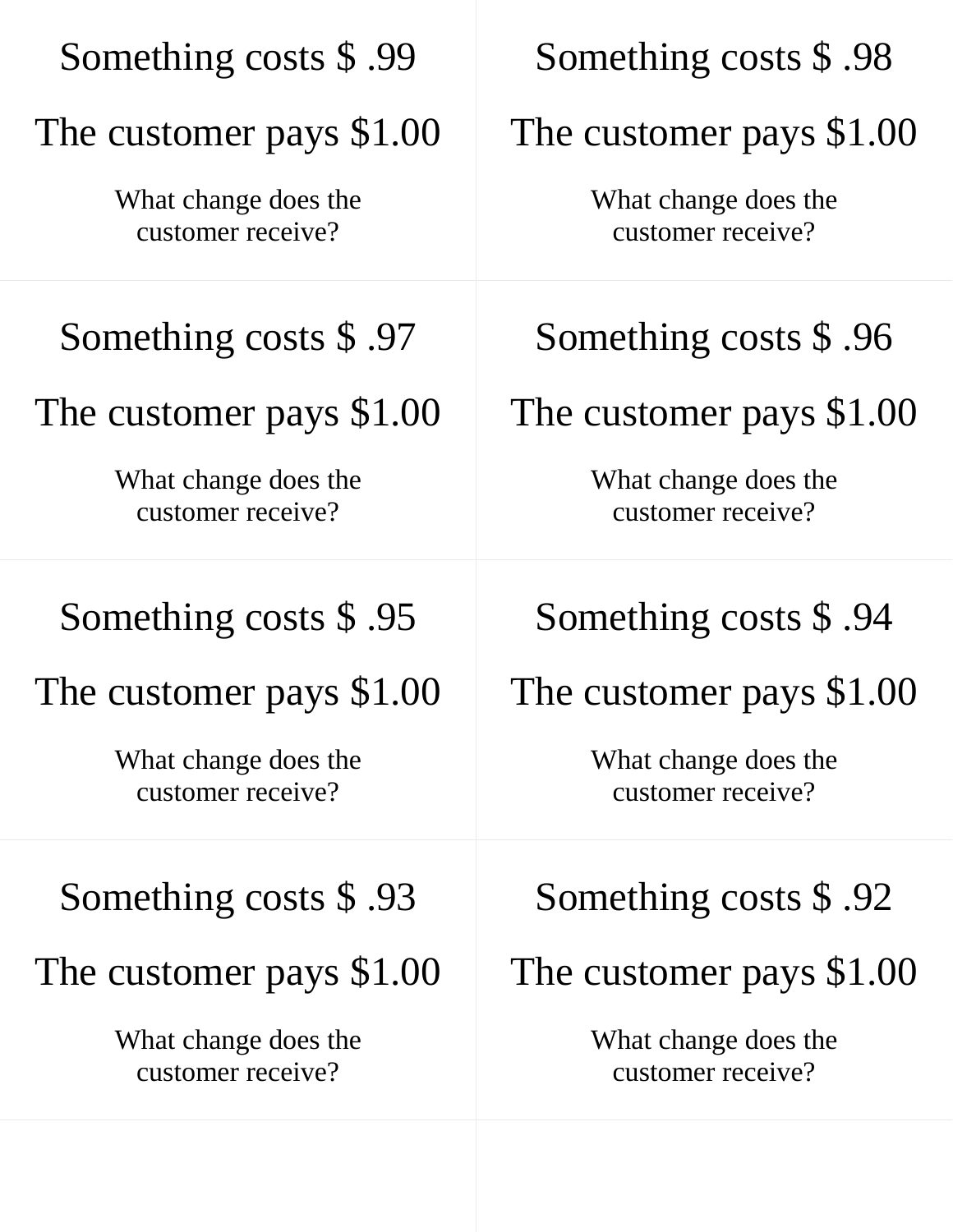| Something costs \$.99                     | Something costs \$.98                     |
|-------------------------------------------|-------------------------------------------|
| The customer pays \$1.00                  | The customer pays \$1.00                  |
| What change does the<br>customer receive? | What change does the<br>customer receive? |
| Something costs \$.97                     | Something costs \$.96                     |
| The customer pays \$1.00                  | The customer pays \$1.00                  |
| What change does the<br>customer receive? | What change does the<br>customer receive? |
| Something costs \$.95                     | Something costs \$.94                     |
| The customer pays \$1.00                  | The customer pays \$1.00                  |
| What change does the<br>customer receive? | What change does the<br>customer receive? |
| Something costs $$.93$                    | Something costs \$.92                     |
| The customer pays \$1.00                  | The customer pays \$1.00                  |
| What change does the<br>customer receive? | What change does the<br>customer receive? |
|                                           |                                           |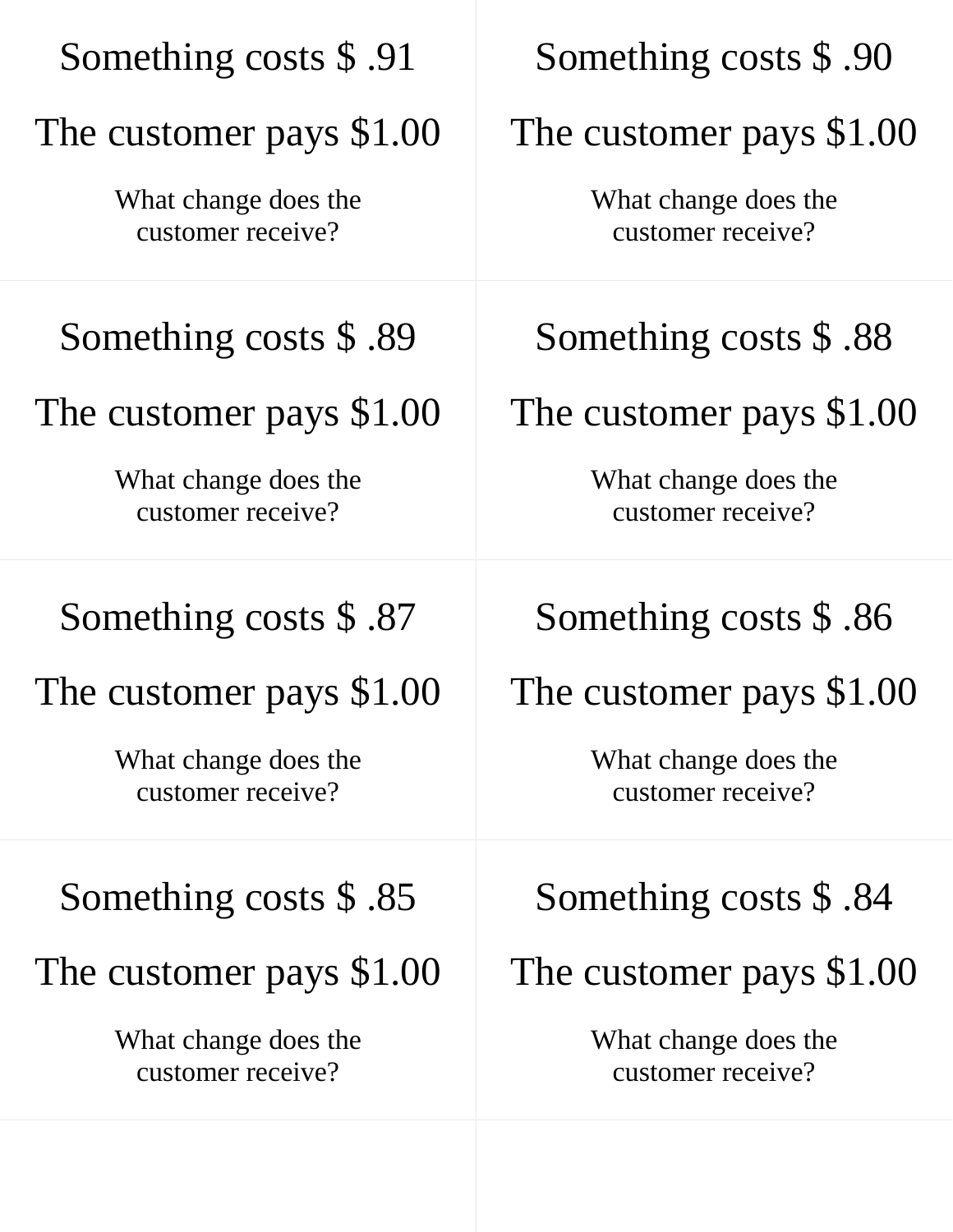| Something costs \$.91                     | Something costs \$.90                     |
|-------------------------------------------|-------------------------------------------|
| The customer pays \$1.00                  | The customer pays \$1.00                  |
| What change does the<br>customer receive? | What change does the<br>customer receive? |
| Something costs \$.89                     | Something costs \$.88                     |
| The customer pays \$1.00                  | The customer pays \$1.00                  |
| What change does the<br>customer receive? | What change does the<br>customer receive? |
| Something costs $$.87$                    | Something costs \$.86                     |
| The customer pays \$1.00                  | The customer pays \$1.00                  |
| What change does the<br>customer receive? | What change does the<br>customer receive? |
| Something costs \$.85                     | Something costs $$.84$                    |
| The customer pays \$1.00                  | The customer pays \$1.00                  |
| What change does the<br>customer receive? | What change does the<br>customer receive? |
|                                           |                                           |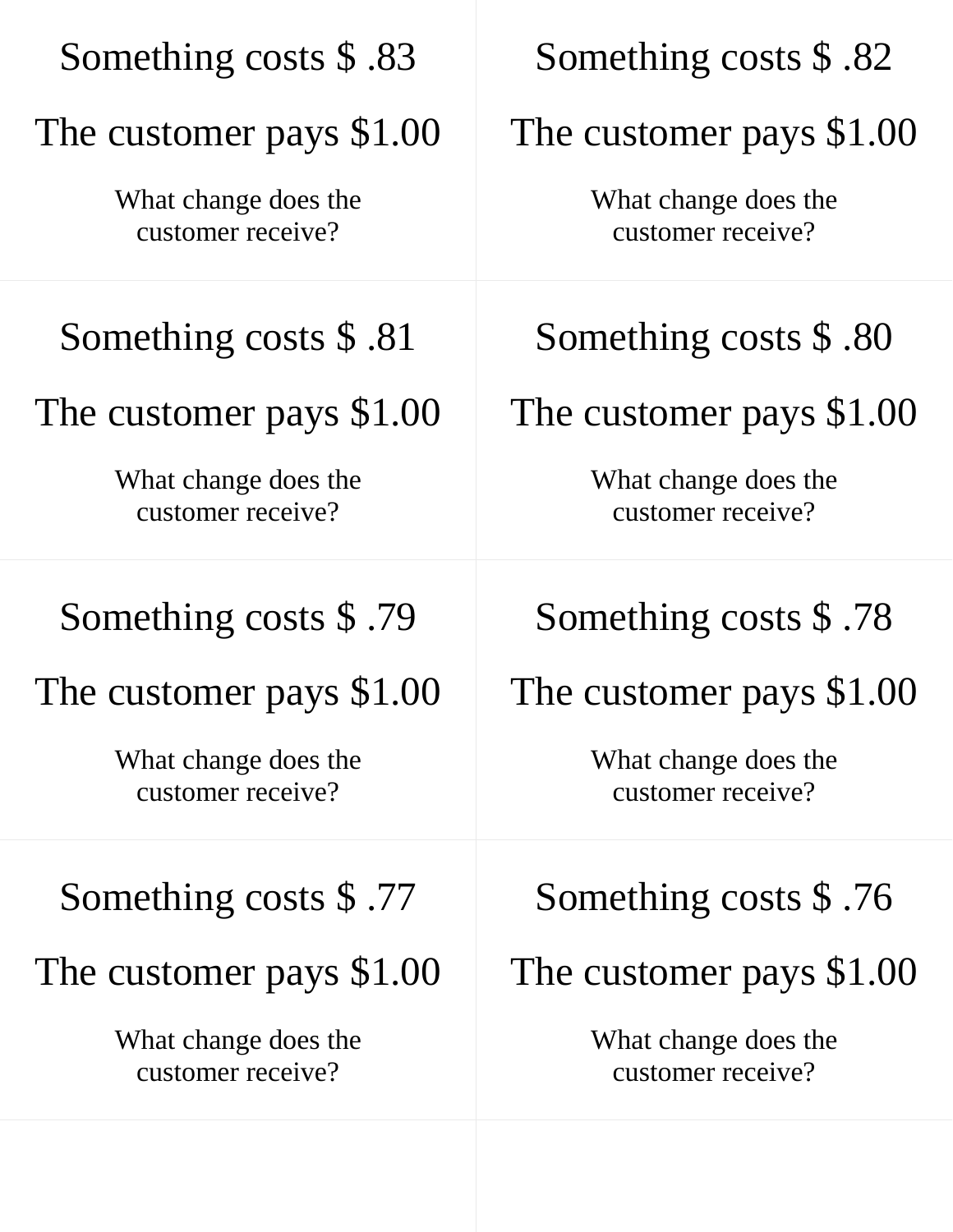| Something costs \$.83                     | Something costs \$.82                     |
|-------------------------------------------|-------------------------------------------|
| The customer pays \$1.00                  | The customer pays \$1.00                  |
| What change does the<br>customer receive? | What change does the<br>customer receive? |
| Something costs \$.81                     | Something costs \$.80                     |
| The customer pays \$1.00                  | The customer pays \$1.00                  |
| What change does the<br>customer receive? | What change does the<br>customer receive? |
| Something costs \$.79                     | Something costs \$.78                     |
| The customer pays \$1.00                  | The customer pays \$1.00                  |
| What change does the<br>customer receive? | What change does the<br>customer receive? |
| Something costs $$.77$                    | Something costs \$.76                     |
| The customer pays \$1.00                  | The customer pays \$1.00                  |
| What change does the<br>customer receive? | What change does the<br>customer receive? |
|                                           |                                           |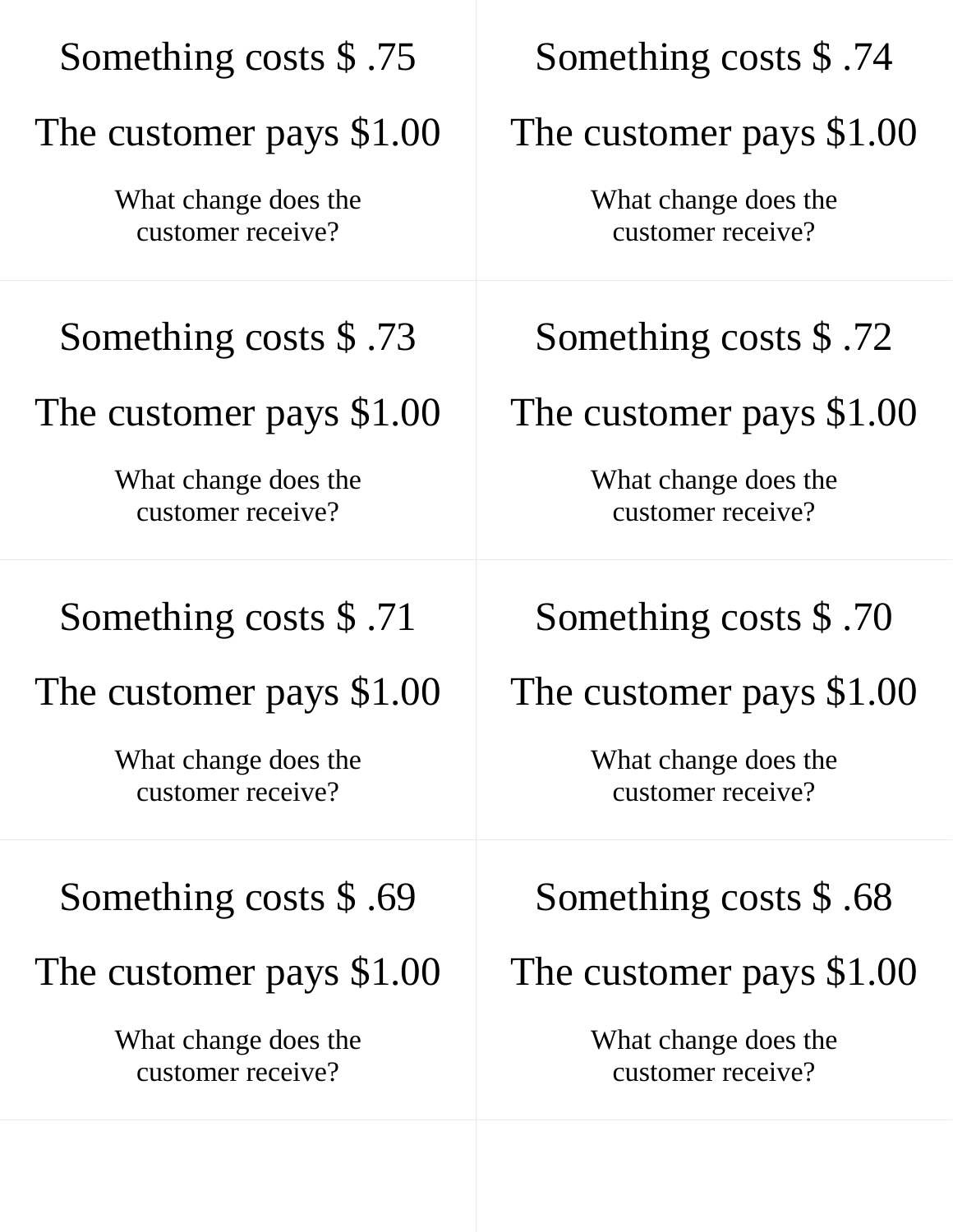| Something costs \$.75                     | Something costs \$.74                     |
|-------------------------------------------|-------------------------------------------|
| The customer pays \$1.00                  | The customer pays \$1.00                  |
| What change does the<br>customer receive? | What change does the<br>customer receive? |
| Something costs \$.73                     | Something costs \$.72                     |
| The customer pays \$1.00                  | The customer pays \$1.00                  |
| What change does the<br>customer receive? | What change does the<br>customer receive? |
| Something costs \$.71                     | Something costs \$.70                     |
| The customer pays \$1.00                  | The customer pays \$1.00                  |
| What change does the<br>customer receive? | What change does the<br>customer receive? |
| Something costs $$.69$                    | Something costs $$.68$                    |
| The customer pays \$1.00                  | The customer pays \$1.00                  |
| What change does the<br>customer receive? | What change does the<br>customer receive? |
|                                           |                                           |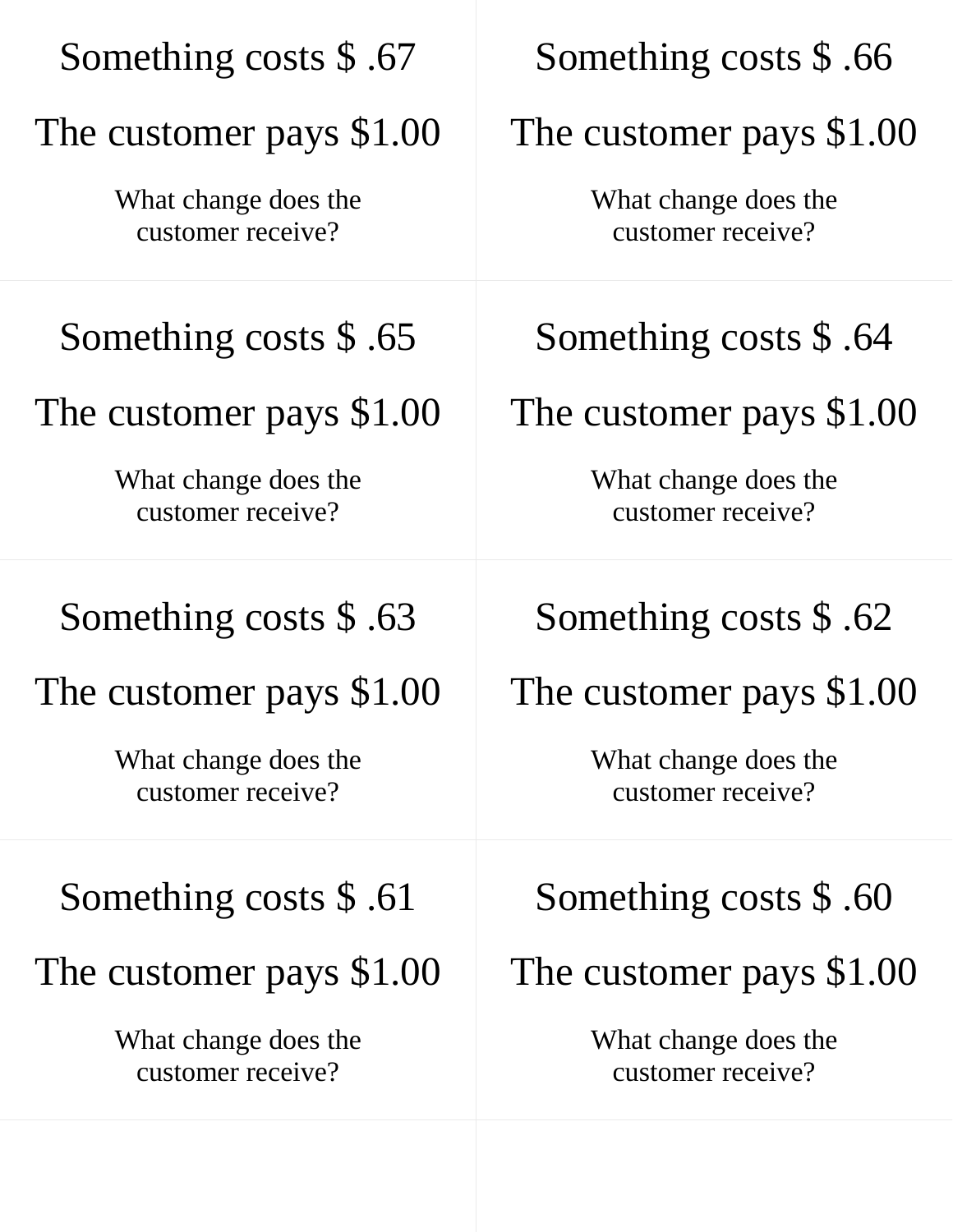| Something costs \$.67                     | Something costs \$.66                     |
|-------------------------------------------|-------------------------------------------|
| The customer pays \$1.00                  | The customer pays \$1.00                  |
| What change does the<br>customer receive? | What change does the<br>customer receive? |
| Something costs \$.65                     | Something costs \$.64                     |
| The customer pays \$1.00                  | The customer pays \$1.00                  |
| What change does the<br>customer receive? | What change does the<br>customer receive? |
| Something costs $$.63$                    | Something costs $$.62$                    |
| The customer pays \$1.00                  | The customer pays \$1.00                  |
| What change does the<br>customer receive? | What change does the<br>customer receive? |
| Something costs $$.61$                    | Something costs $$.60$                    |
| The customer pays \$1.00                  | The customer pays \$1.00                  |
| What change does the<br>customer receive? | What change does the<br>customer receive? |
|                                           |                                           |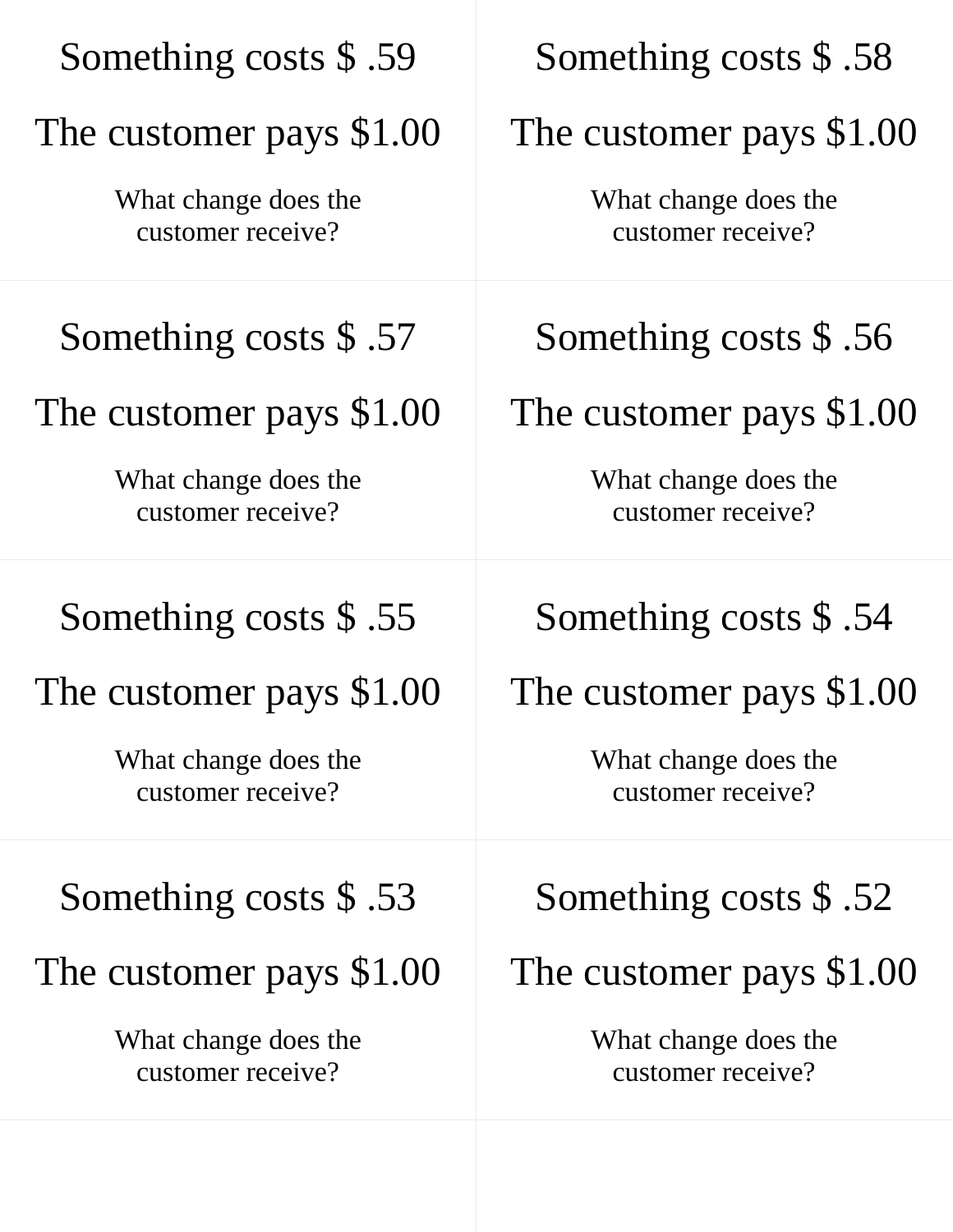| Something costs \$.59                     | Something costs \$.58                     |
|-------------------------------------------|-------------------------------------------|
| The customer pays \$1.00                  | The customer pays \$1.00                  |
| What change does the<br>customer receive? | What change does the<br>customer receive? |
| Something costs \$.57                     | Something costs $$.56$                    |
| The customer pays \$1.00                  | The customer pays \$1.00                  |
| What change does the<br>customer receive? | What change does the<br>customer receive? |
| Something costs \$.55                     | Something costs \$.54                     |
| The customer pays \$1.00                  | The customer pays \$1.00                  |
| What change does the<br>customer receive? | What change does the<br>customer receive? |
| Something costs $$.53$                    | Something costs $$.52$                    |
| The customer pays \$1.00                  | The customer pays \$1.00                  |
| What change does the<br>customer receive? | What change does the<br>customer receive? |
|                                           |                                           |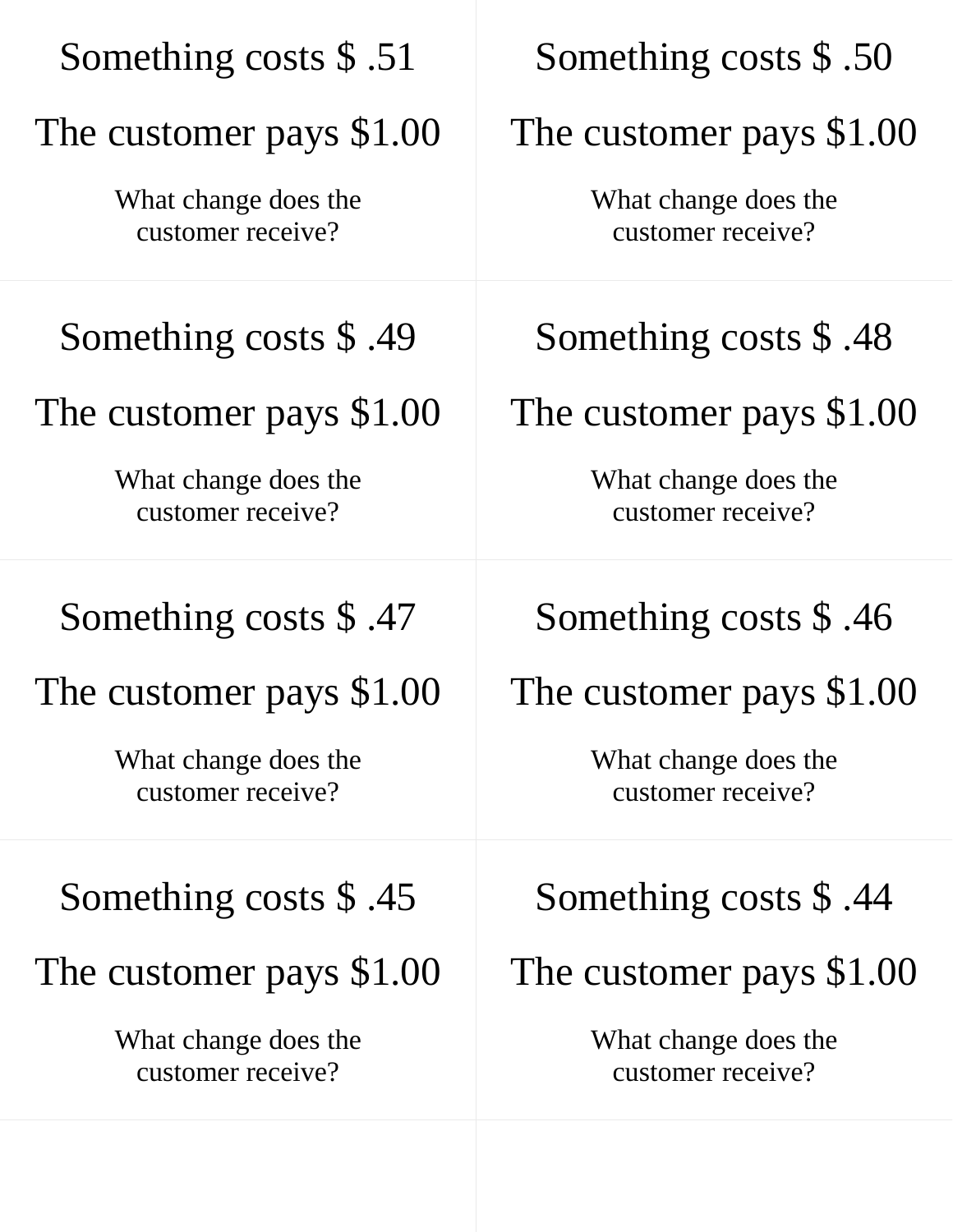| Something costs \$.51                     | Something costs \$.50                     |
|-------------------------------------------|-------------------------------------------|
| The customer pays \$1.00                  | The customer pays \$1.00                  |
| What change does the<br>customer receive? | What change does the<br>customer receive? |
| Something costs \$.49                     | Something costs $$.48$                    |
| The customer pays \$1.00                  | The customer pays \$1.00                  |
| What change does the<br>customer receive? | What change does the<br>customer receive? |
| Something costs \$.47                     | Something costs \$.46                     |
| The customer pays \$1.00                  | The customer pays \$1.00                  |
| What change does the<br>customer receive? | What change does the<br>customer receive? |
| Something costs $$.45$                    | Something costs $$.44$                    |
| The customer pays \$1.00                  | The customer pays \$1.00                  |
| What change does the<br>customer receive? | What change does the<br>customer receive? |
|                                           |                                           |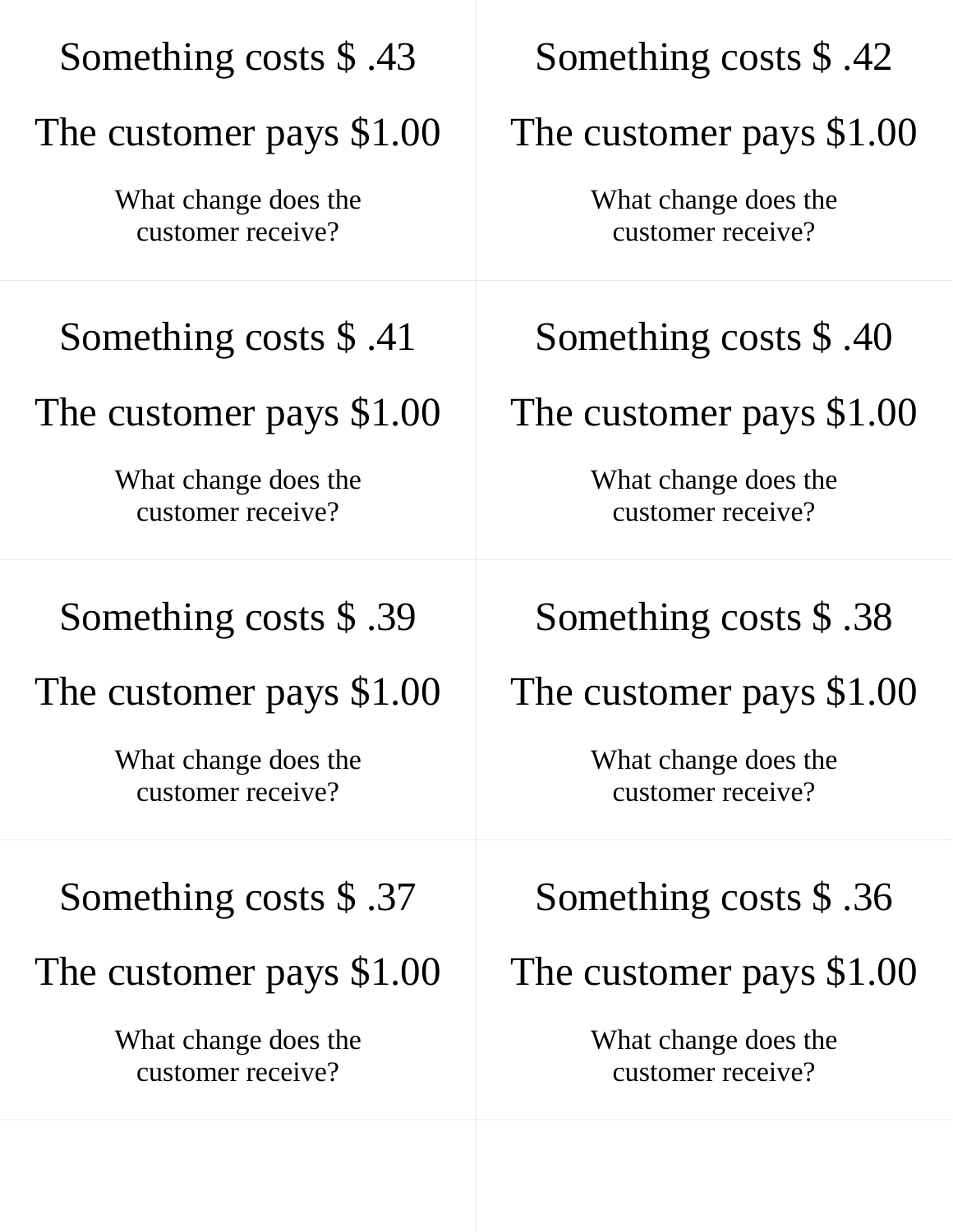| Something costs \$.43                     | Something costs \$.42                     |
|-------------------------------------------|-------------------------------------------|
| The customer pays \$1.00                  | The customer pays \$1.00                  |
| What change does the<br>customer receive? | What change does the<br>customer receive? |
| Something costs $$.41$                    | Something costs \$.40                     |
| The customer pays \$1.00                  | The customer pays \$1.00                  |
| What change does the<br>customer receive? | What change does the<br>customer receive? |
| Something costs \$.39                     | Something costs $$.38$                    |
| The customer pays \$1.00                  | The customer pays \$1.00                  |
| What change does the<br>customer receive? | What change does the<br>customer receive? |
| Something costs $$.37$                    | Something costs $$.36$                    |
| The customer pays \$1.00                  | The customer pays \$1.00                  |
| What change does the<br>customer receive? | What change does the<br>customer receive? |
|                                           |                                           |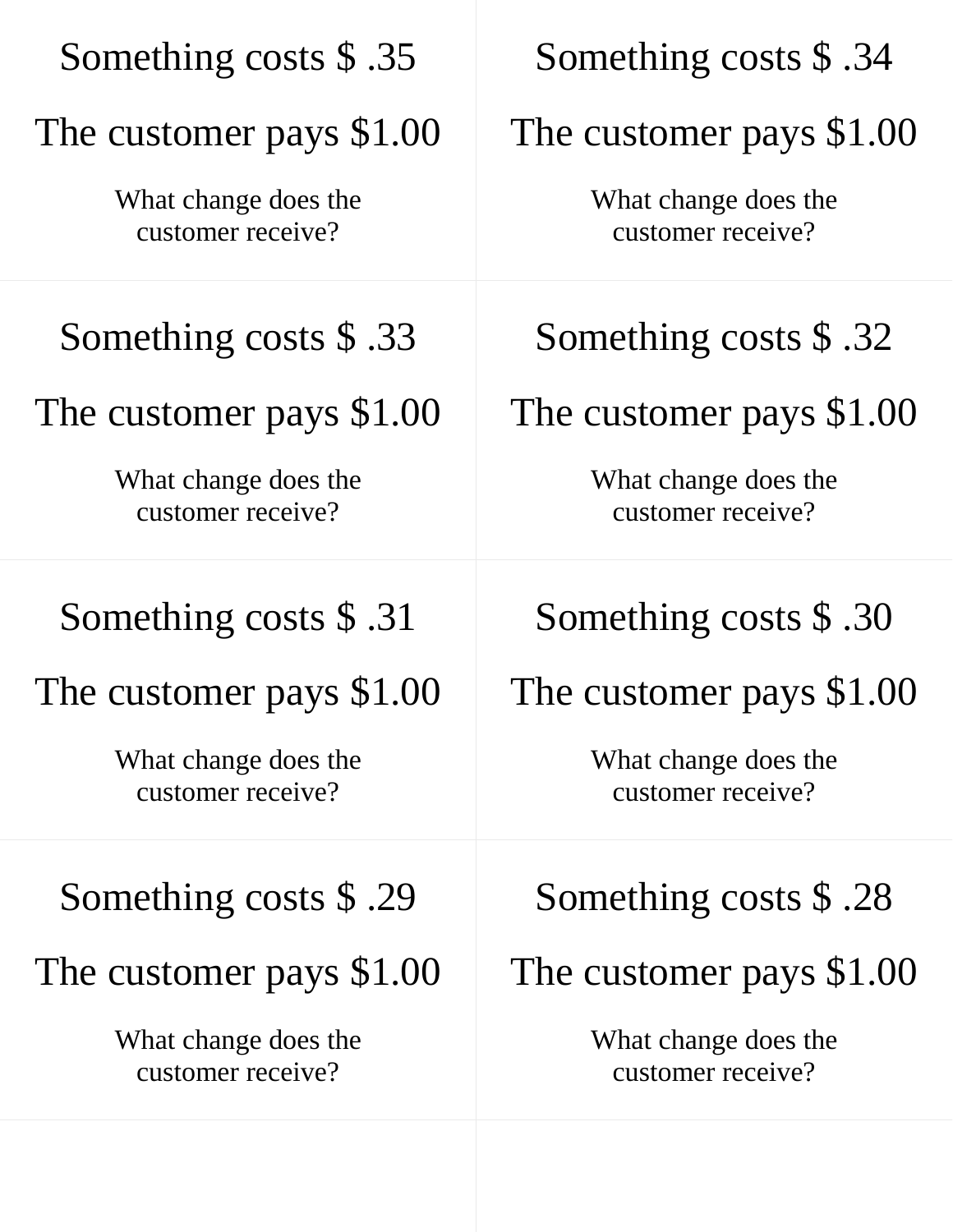| Something costs \$.35                     | Something costs \$.34                     |
|-------------------------------------------|-------------------------------------------|
| The customer pays \$1.00                  | The customer pays \$1.00                  |
| What change does the<br>customer receive? | What change does the<br>customer receive? |
| Something costs \$.33                     | Something costs \$.32                     |
| The customer pays \$1.00                  | The customer pays \$1.00                  |
| What change does the<br>customer receive? | What change does the<br>customer receive? |
| Something costs \$.31                     | Something costs \$.30                     |
| The customer pays \$1.00                  | The customer pays \$1.00                  |
| What change does the<br>customer receive? | What change does the<br>customer receive? |
| Something costs \$.29                     | Something costs $$.28$                    |
| The customer pays \$1.00                  | The customer pays \$1.00                  |
| What change does the<br>customer receive? | What change does the<br>customer receive? |
|                                           |                                           |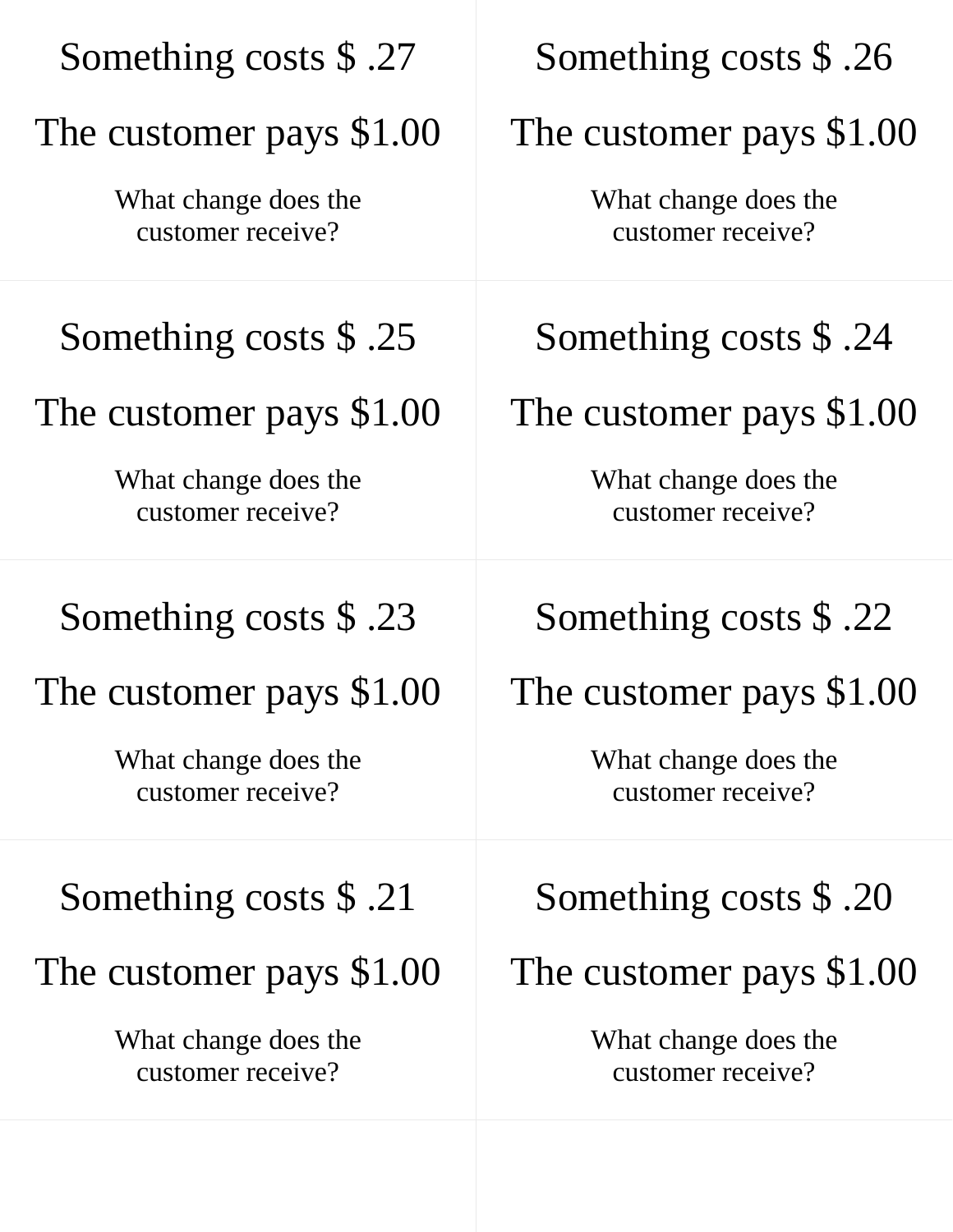| Something costs \$.27                     | Something costs \$.26                     |
|-------------------------------------------|-------------------------------------------|
| The customer pays \$1.00                  | The customer pays \$1.00                  |
| What change does the<br>customer receive? | What change does the<br>customer receive? |
| Something costs $$.25$                    | Something costs \$.24                     |
| The customer pays \$1.00                  | The customer pays \$1.00                  |
| What change does the<br>customer receive? | What change does the<br>customer receive? |
| Something costs \$.23                     | Something costs \$.22                     |
| The customer pays \$1.00                  | The customer pays \$1.00                  |
| What change does the<br>customer receive? | What change does the<br>customer receive? |
| Something costs $$.21$                    | Something costs $$.20$                    |
| The customer pays \$1.00                  | The customer pays \$1.00                  |
| What change does the<br>customer receive? | What change does the<br>customer receive? |
|                                           |                                           |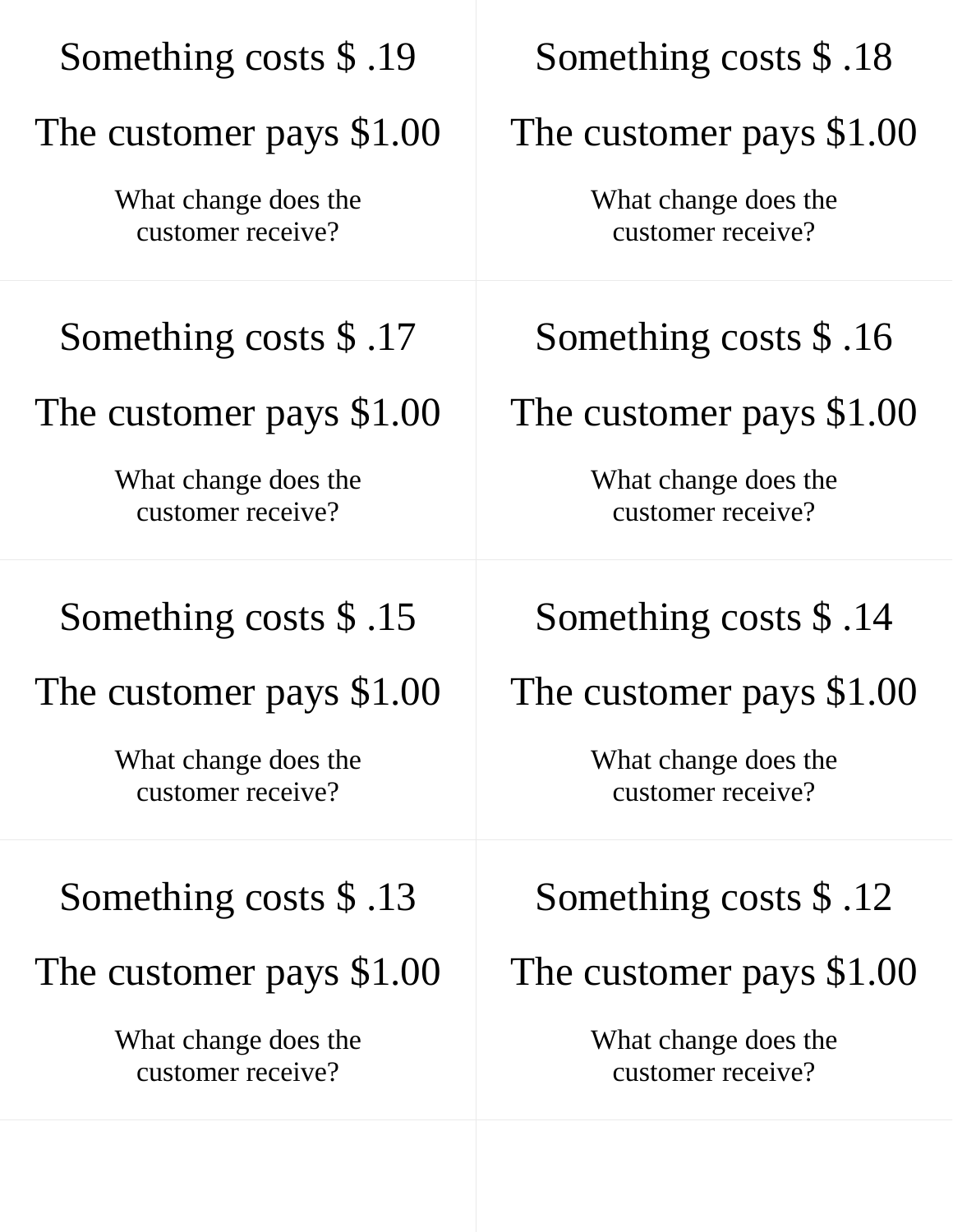| Something costs \$.19                     | Something costs \$.18                     |
|-------------------------------------------|-------------------------------------------|
| The customer pays \$1.00                  | The customer pays \$1.00                  |
| What change does the<br>customer receive? | What change does the<br>customer receive? |
| Something costs \$.17                     | Something costs $$.16$                    |
| The customer pays \$1.00                  | The customer pays \$1.00                  |
| What change does the<br>customer receive? | What change does the<br>customer receive? |
| Something costs \$.15                     | Something costs $$.14$                    |
| The customer pays \$1.00                  | The customer pays \$1.00                  |
| What change does the<br>customer receive? | What change does the<br>customer receive? |
| Something costs $$.13$                    | Something costs $$.12$                    |
| The customer pays \$1.00                  | The customer pays \$1.00                  |
| What change does the<br>customer receive? | What change does the<br>customer receive? |
|                                           |                                           |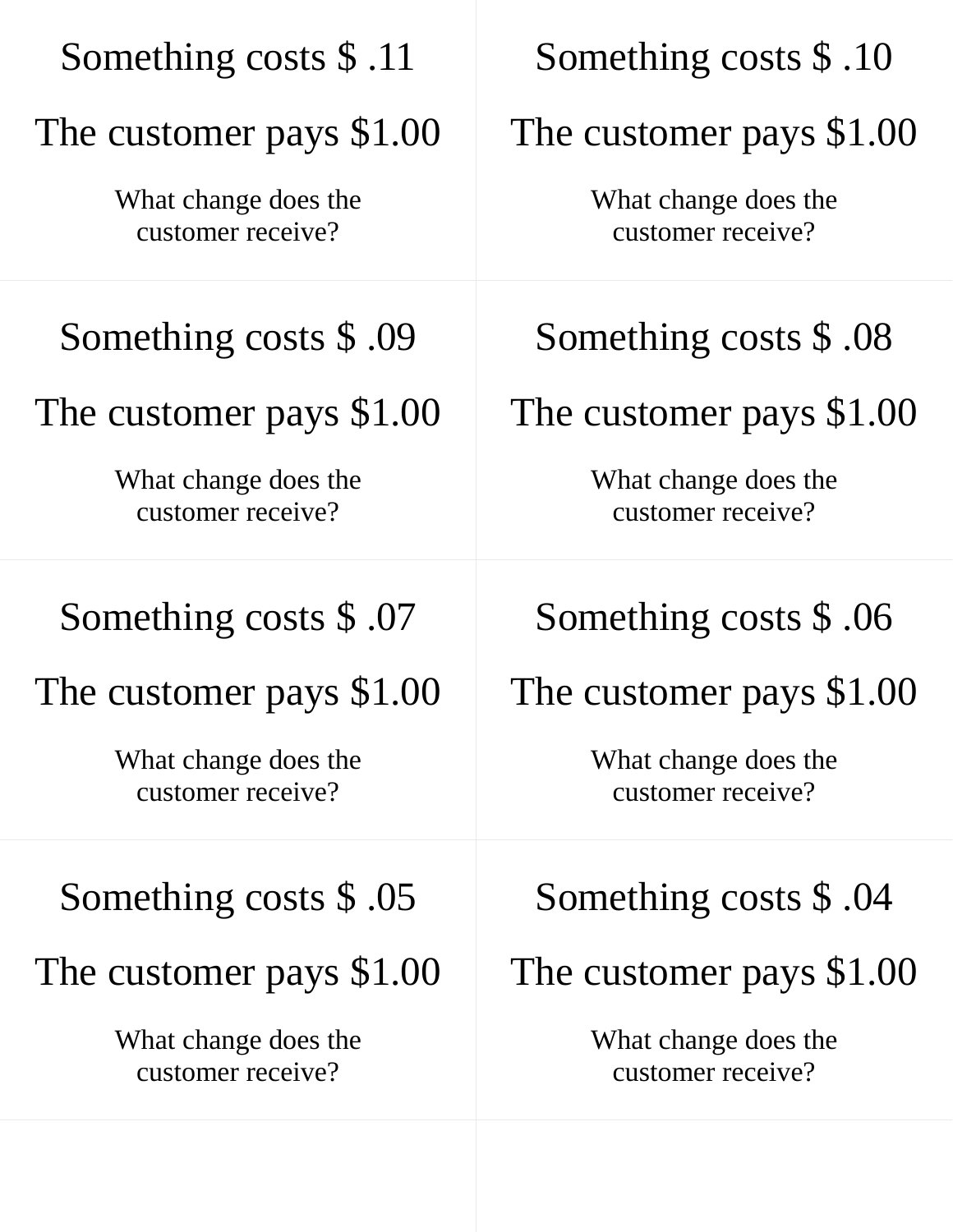| Something costs \$.11                     | Something costs \$.10                     |
|-------------------------------------------|-------------------------------------------|
| The customer pays \$1.00                  | The customer pays \$1.00                  |
| What change does the<br>customer receive? | What change does the<br>customer receive? |
| Something costs $$.09$                    | Something costs \$.08                     |
| The customer pays \$1.00                  | The customer pays \$1.00                  |
| What change does the<br>customer receive? | What change does the<br>customer receive? |
| Something costs $$.07$                    | Something costs \$.06                     |
| The customer pays \$1.00                  | The customer pays \$1.00                  |
| What change does the<br>customer receive? | What change does the<br>customer receive? |
| Something costs $$.05$                    | Something costs $$.04$                    |
| The customer pays \$1.00                  | The customer pays \$1.00                  |
| What change does the<br>customer receive? | What change does the<br>customer receive? |
|                                           |                                           |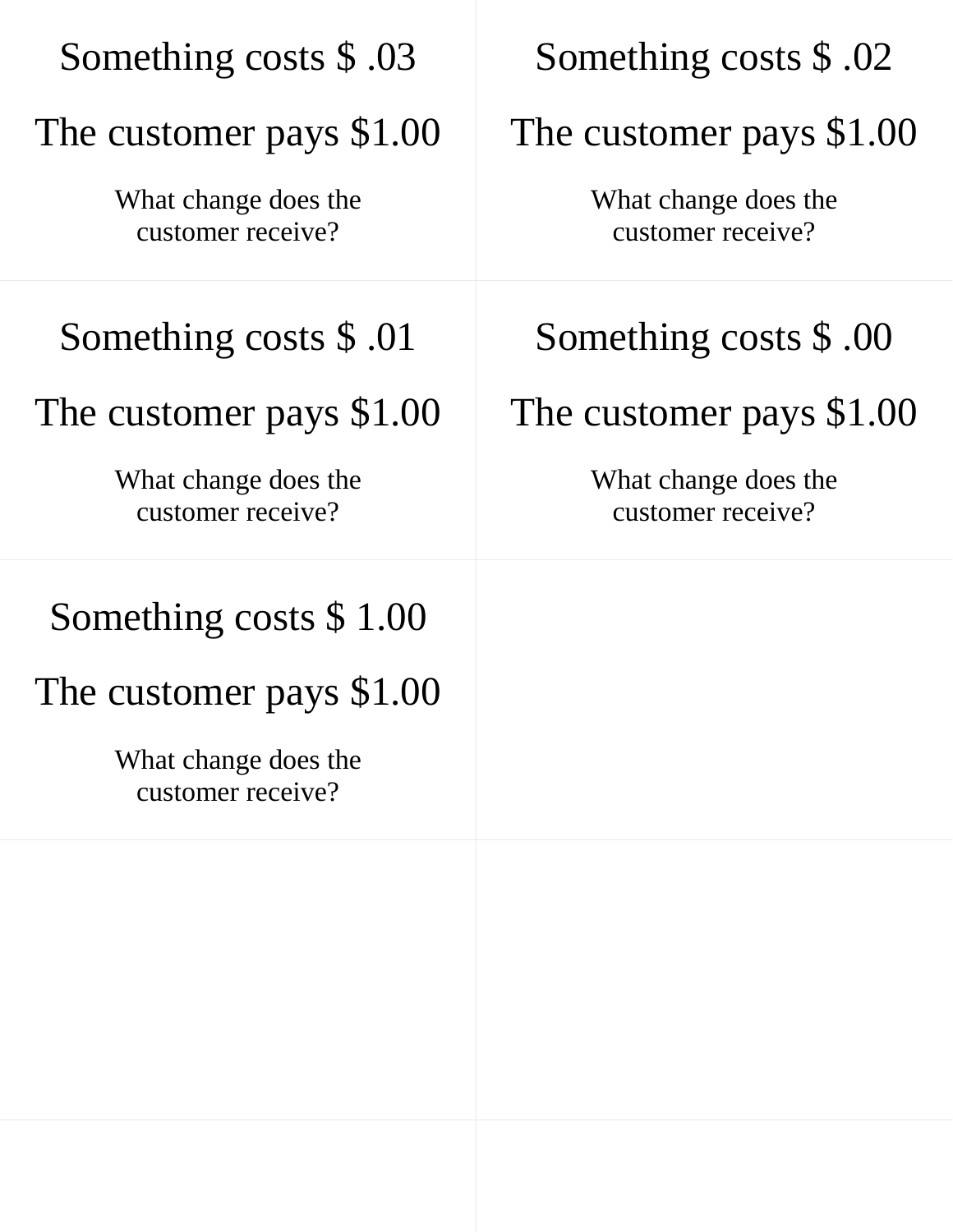| Something costs \$.03                     | Something costs \$.02                     |
|-------------------------------------------|-------------------------------------------|
| The customer pays \$1.00                  | The customer pays \$1.00                  |
| What change does the<br>customer receive? | What change does the<br>customer receive? |
| Something costs \$.01                     | Something costs \$.00                     |
| The customer pays \$1.00                  | The customer pays \$1.00                  |
| What change does the<br>customer receive? | What change does the<br>customer receive? |
| Something costs \$1.00                    |                                           |
| The customer pays \$1.00                  |                                           |
| What change does the<br>customer receive? |                                           |
|                                           |                                           |
|                                           |                                           |
|                                           |                                           |
|                                           |                                           |